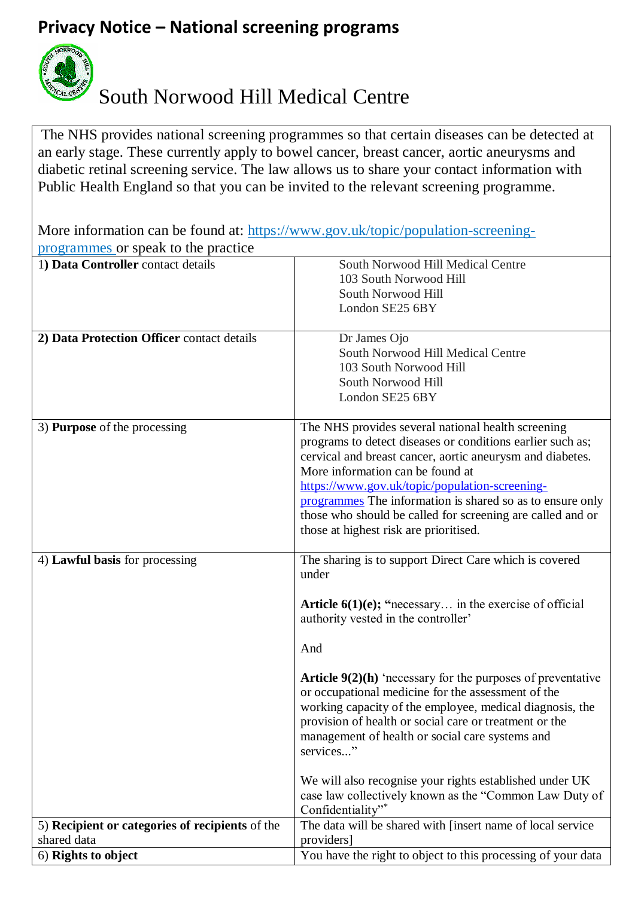## **Privacy Notice – National screening programs**



## South Norwood Hill Medical Centre

The NHS provides national screening programmes so that certain diseases can be detected at an early stage. These currently apply to bowel cancer, breast cancer, aortic aneurysms and diabetic retinal screening service. The law allows us to share your contact information with Public Health England so that you can be invited to the relevant screening programme.

More information can be found at: [https://www.gov.uk/topic/population-screening](https://www.gov.uk/topic/population-screening-programmes)[programmes](https://www.gov.uk/topic/population-screening-programmes) or speak to the practice

| 1) Data Controller contact details              | South Norwood Hill Medical Centre                                               |
|-------------------------------------------------|---------------------------------------------------------------------------------|
|                                                 | 103 South Norwood Hill                                                          |
|                                                 | South Norwood Hill                                                              |
|                                                 | London SE25 6BY                                                                 |
|                                                 |                                                                                 |
| 2) Data Protection Officer contact details      | Dr James Ojo                                                                    |
|                                                 | South Norwood Hill Medical Centre                                               |
|                                                 | 103 South Norwood Hill                                                          |
|                                                 | South Norwood Hill                                                              |
|                                                 | London SE25 6BY                                                                 |
|                                                 |                                                                                 |
| 3) <b>Purpose</b> of the processing             | The NHS provides several national health screening                              |
|                                                 | programs to detect diseases or conditions earlier such as;                      |
|                                                 | cervical and breast cancer, aortic aneurysm and diabetes.                       |
|                                                 | More information can be found at                                                |
|                                                 | https://www.gov.uk/topic/population-screening-                                  |
|                                                 | programmes The information is shared so as to ensure only                       |
|                                                 | those who should be called for screening are called and or                      |
|                                                 | those at highest risk are prioritised.                                          |
|                                                 |                                                                                 |
| 4) Lawful basis for processing                  | The sharing is to support Direct Care which is covered                          |
|                                                 | under                                                                           |
|                                                 |                                                                                 |
|                                                 | <b>Article 6(1)(e); "</b> necessary in the exercise of official                 |
|                                                 | authority vested in the controller'                                             |
|                                                 |                                                                                 |
|                                                 | And                                                                             |
|                                                 |                                                                                 |
|                                                 | <b>Article <math>9(2)(h)</math></b> 'necessary for the purposes of preventative |
|                                                 | or occupational medicine for the assessment of the                              |
|                                                 | working capacity of the employee, medical diagnosis, the                        |
|                                                 | provision of health or social care or treatment or the                          |
|                                                 | management of health or social care systems and                                 |
|                                                 | services"                                                                       |
|                                                 |                                                                                 |
|                                                 | We will also recognise your rights established under UK                         |
|                                                 | case law collectively known as the "Common Law Duty of                          |
|                                                 | Confidentiality"*                                                               |
| 5) Recipient or categories of recipients of the | The data will be shared with [insert name of local service                      |
| shared data                                     | providers]                                                                      |
| 6) Rights to object                             | You have the right to object to this processing of your data                    |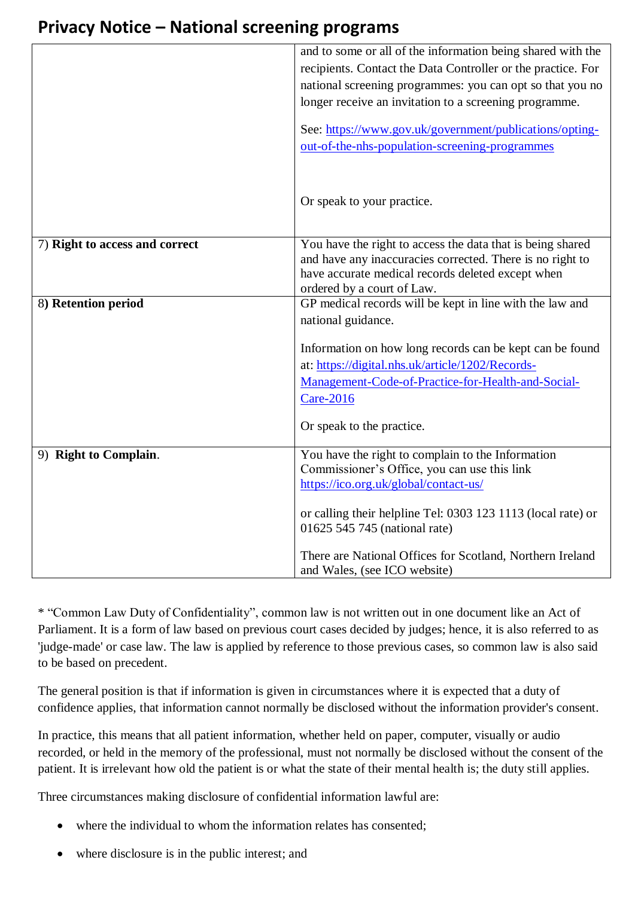## **Privacy Notice – National screening programs**

|                                | and to some or all of the information being shared with the  |
|--------------------------------|--------------------------------------------------------------|
|                                | recipients. Contact the Data Controller or the practice. For |
|                                | national screening programmes: you can opt so that you no    |
|                                | longer receive an invitation to a screening programme.       |
|                                |                                                              |
|                                | See: https://www.gov.uk/government/publications/opting-      |
|                                | out-of-the-nhs-population-screening-programmes               |
|                                |                                                              |
|                                |                                                              |
|                                | Or speak to your practice.                                   |
|                                |                                                              |
| 7) Right to access and correct | You have the right to access the data that is being shared   |
|                                | and have any inaccuracies corrected. There is no right to    |
|                                | have accurate medical records deleted except when            |
|                                | ordered by a court of Law.                                   |
| 8) Retention period            | GP medical records will be kept in line with the law and     |
|                                | national guidance.                                           |
|                                | Information on how long records can be kept can be found     |
|                                | at: https://digital.nhs.uk/article/1202/Records-             |
|                                | Management-Code-of-Practice-for-Health-and-Social-           |
|                                | <b>Care-2016</b>                                             |
|                                |                                                              |
|                                | Or speak to the practice.                                    |
| 9) Right to Complain.          | You have the right to complain to the Information            |
|                                | Commissioner's Office, you can use this link                 |
|                                | https://ico.org.uk/global/contact-us/                        |
|                                | or calling their helpline Tel: 0303 123 1113 (local rate) or |
|                                | 01625 545 745 (national rate)                                |
|                                |                                                              |
|                                | There are National Offices for Scotland, Northern Ireland    |
|                                | and Wales, (see ICO website)                                 |

\* "Common Law Duty of Confidentiality", common law is not written out in one document like an Act of Parliament. It is a form of law based on previous court cases decided by judges; hence, it is also referred to as 'judge-made' or case law. The law is applied by reference to those previous cases, so common law is also said to be based on precedent.

The general position is that if information is given in circumstances where it is expected that a duty of confidence applies, that information cannot normally be disclosed without the information provider's consent.

In practice, this means that all patient information, whether held on paper, computer, visually or audio recorded, or held in the memory of the professional, must not normally be disclosed without the consent of the patient. It is irrelevant how old the patient is or what the state of their mental health is; the duty still applies.

Three circumstances making disclosure of confidential information lawful are:

- where the individual to whom the information relates has consented:
- where disclosure is in the public interest; and